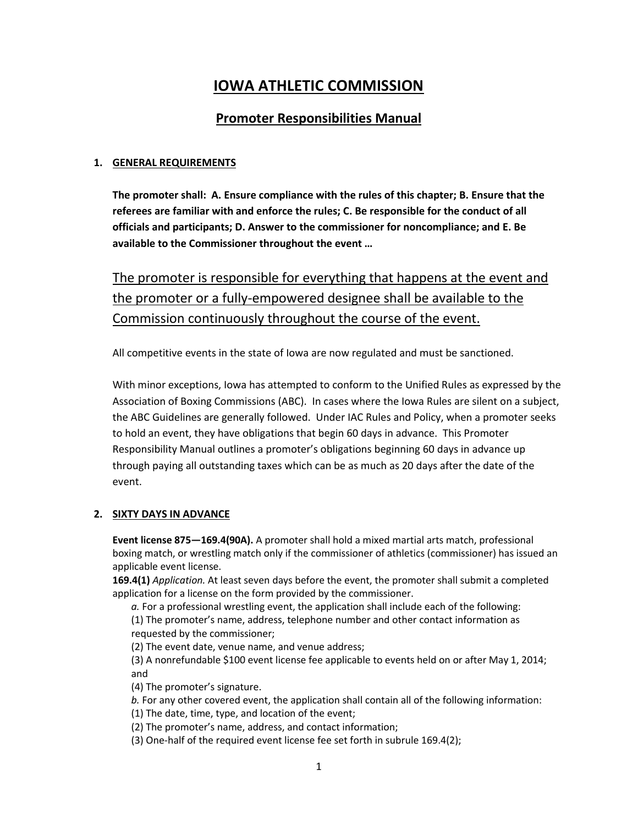# **IOWA ATHLETIC COMMISSION**

# **Promoter Responsibilities Manual**

### **1. GENERAL REQUIREMENTS**

**The promoter shall: A. Ensure compliance with the rules of this chapter; B. Ensure that the referees are familiar with and enforce the rules; C. Be responsible for the conduct of all officials and participants; D. Answer to the commissioner for noncompliance; and E. Be available to the Commissioner throughout the event …**

The promoter is responsible for everything that happens at the event and the promoter or a fully-empowered designee shall be available to the Commission continuously throughout the course of the event.

All competitive events in the state of Iowa are now regulated and must be sanctioned.

With minor exceptions, Iowa has attempted to conform to the Unified Rules as expressed by the Association of Boxing Commissions (ABC). In cases where the Iowa Rules are silent on a subject, the ABC Guidelines are generally followed. Under IAC Rules and Policy, when a promoter seeks to hold an event, they have obligations that begin 60 days in advance. This Promoter Responsibility Manual outlines a promoter's obligations beginning 60 days in advance up through paying all outstanding taxes which can be as much as 20 days after the date of the event.

#### **2. SIXTY DAYS IN ADVANCE**

**Event license 875—169.4(90A).** A promoter shall hold a mixed martial arts match, professional boxing match, or wrestling match only if the commissioner of athletics (commissioner) has issued an applicable event license.

**169.4(1)** *Application.* At least seven days before the event, the promoter shall submit a completed application for a license on the form provided by the commissioner.

*a.* For a professional wrestling event, the application shall include each of the following: (1) The promoter's name, address, telephone number and other contact information as requested by the commissioner;

(2) The event date, venue name, and venue address;

(3) A nonrefundable \$100 event license fee applicable to events held on or after May 1, 2014; and

(4) The promoter's signature.

*b.* For any other covered event, the application shall contain all of the following information:

(1) The date, time, type, and location of the event;

(2) The promoter's name, address, and contact information;

(3) One-half of the required event license fee set forth in subrule 169.4(2);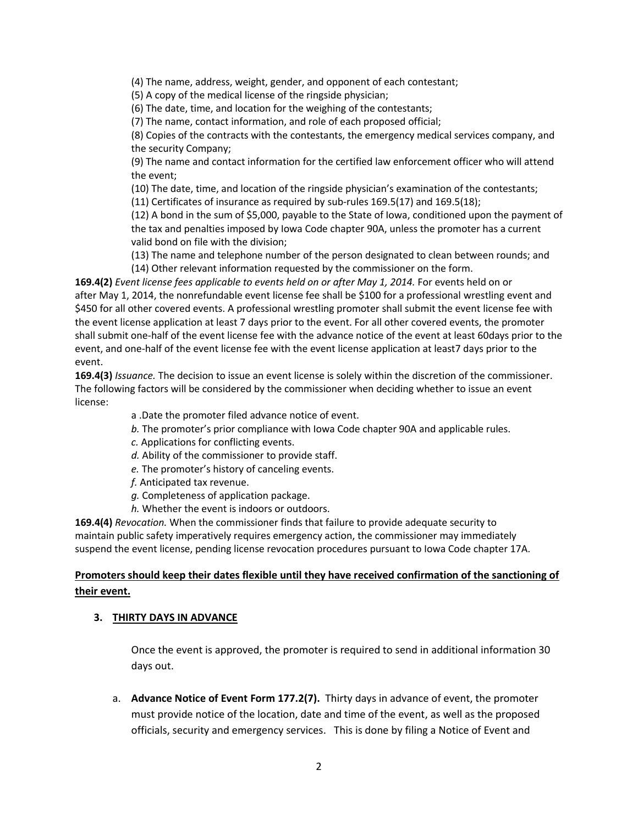(4) The name, address, weight, gender, and opponent of each contestant;

(5) A copy of the medical license of the ringside physician;

(6) The date, time, and location for the weighing of the contestants;

(7) The name, contact information, and role of each proposed official;

(8) Copies of the contracts with the contestants, the emergency medical services company, and the security Company;

(9) The name and contact information for the certified law enforcement officer who will attend the event;

(10) The date, time, and location of the ringside physician's examination of the contestants;

(11) Certificates of insurance as required by sub-rules 169.5(17) and 169.5(18);

(12) A bond in the sum of \$5,000, payable to the State of Iowa, conditioned upon the payment of the tax and penalties imposed by Iowa Code chapter 90A, unless the promoter has a current valid bond on file with the division;

(13) The name and telephone number of the person designated to clean between rounds; and (14) Other relevant information requested by the commissioner on the form.

**169.4(2)** *Event license fees applicable to events held on or after May 1, 2014.* For events held on or after May 1, 2014, the nonrefundable event license fee shall be \$100 for a professional wrestling event and \$450 for all other covered events. A professional wrestling promoter shall submit the event license fee with the event license application at least 7 days prior to the event. For all other covered events, the promoter shall submit one-half of the event license fee with the advance notice of the event at least 60days prior to the event, and one-half of the event license fee with the event license application at least7 days prior to the event.

**169.4(3)** *Issuance.* The decision to issue an event license is solely within the discretion of the commissioner. The following factors will be considered by the commissioner when deciding whether to issue an event license:

a .Date the promoter filed advance notice of event.

*b.* The promoter's prior compliance with Iowa Code chapter 90A and applicable rules.

- *c.* Applications for conflicting events.
- *d.* Ability of the commissioner to provide staff.
- *e.* The promoter's history of canceling events.
- *f.* Anticipated tax revenue.
- *g.* Completeness of application package.
- *h.* Whether the event is indoors or outdoors.

**169.4(4)** *Revocation.* When the commissioner finds that failure to provide adequate security to maintain public safety imperatively requires emergency action, the commissioner may immediately suspend the event license, pending license revocation procedures pursuant to Iowa Code chapter 17A.

# **Promoters should keep their dates flexible until they have received confirmation of the sanctioning of their event.**

#### **3. THIRTY DAYS IN ADVANCE**

Once the event is approved, the promoter is required to send in additional information 30 days out.

a. **Advance Notice of Event Form 177.2(7).** Thirty days in advance of event, the promoter must provide notice of the location, date and time of the event, as well as the proposed officials, security and emergency services. This is done by filing a Notice of Event and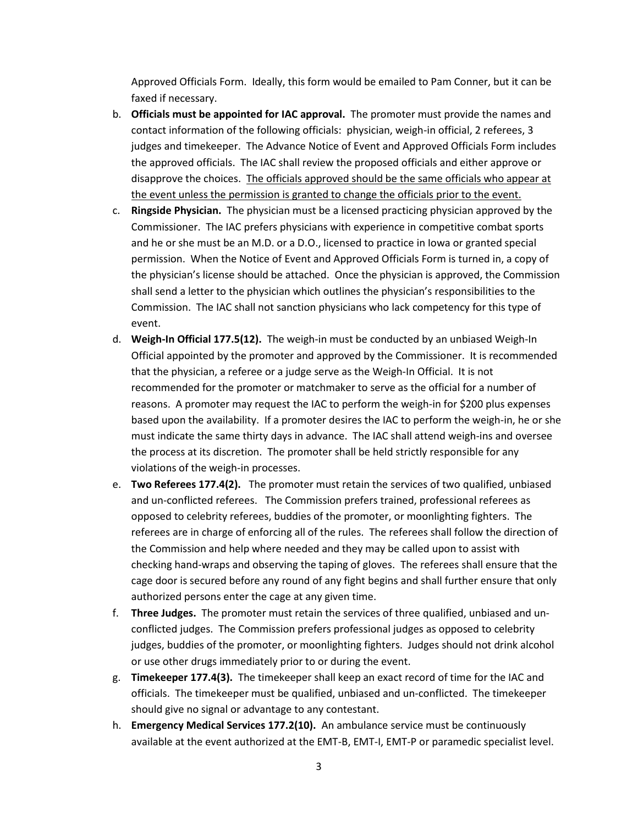Approved Officials Form. Ideally, this form would be emailed to Pam Conner, but it can be faxed if necessary.

- b. **Officials must be appointed for IAC approval.** The promoter must provide the names and contact information of the following officials: physician, weigh-in official, 2 referees, 3 judges and timekeeper. The Advance Notice of Event and Approved Officials Form includes the approved officials. The IAC shall review the proposed officials and either approve or disapprove the choices. The officials approved should be the same officials who appear at the event unless the permission is granted to change the officials prior to the event.
- c. **Ringside Physician.** The physician must be a licensed practicing physician approved by the Commissioner. The IAC prefers physicians with experience in competitive combat sports and he or she must be an M.D. or a D.O., licensed to practice in Iowa or granted special permission. When the Notice of Event and Approved Officials Form is turned in, a copy of the physician's license should be attached. Once the physician is approved, the Commission shall send a letter to the physician which outlines the physician's responsibilities to the Commission. The IAC shall not sanction physicians who lack competency for this type of event.
- d. **Weigh-In Official 177.5(12).** The weigh-in must be conducted by an unbiased Weigh-In Official appointed by the promoter and approved by the Commissioner. It is recommended that the physician, a referee or a judge serve as the Weigh-In Official. It is not recommended for the promoter or matchmaker to serve as the official for a number of reasons. A promoter may request the IAC to perform the weigh-in for \$200 plus expenses based upon the availability. If a promoter desires the IAC to perform the weigh-in, he or she must indicate the same thirty days in advance. The IAC shall attend weigh-ins and oversee the process at its discretion. The promoter shall be held strictly responsible for any violations of the weigh-in processes.
- e. **Two Referees 177.4(2).** The promoter must retain the services of two qualified, unbiased and un-conflicted referees. The Commission prefers trained, professional referees as opposed to celebrity referees, buddies of the promoter, or moonlighting fighters. The referees are in charge of enforcing all of the rules. The referees shall follow the direction of the Commission and help where needed and they may be called upon to assist with checking hand-wraps and observing the taping of gloves. The referees shall ensure that the cage door is secured before any round of any fight begins and shall further ensure that only authorized persons enter the cage at any given time.
- f. **Three Judges.** The promoter must retain the services of three qualified, unbiased and unconflicted judges. The Commission prefers professional judges as opposed to celebrity judges, buddies of the promoter, or moonlighting fighters. Judges should not drink alcohol or use other drugs immediately prior to or during the event.
- g. **Timekeeper 177.4(3).** The timekeeper shall keep an exact record of time for the IAC and officials. The timekeeper must be qualified, unbiased and un-conflicted. The timekeeper should give no signal or advantage to any contestant.
- h. **Emergency Medical Services 177.2(10).** An ambulance service must be continuously available at the event authorized at the EMT-B, EMT-I, EMT-P or paramedic specialist level.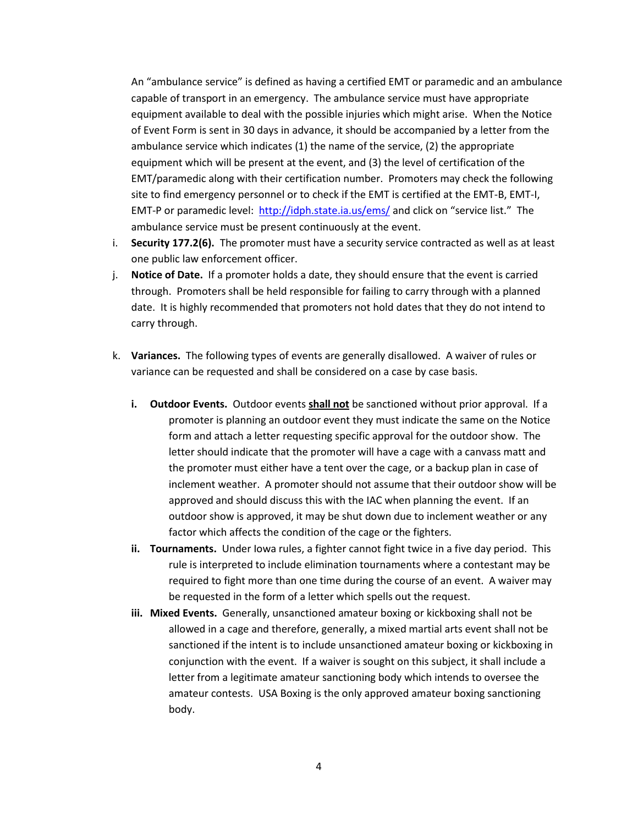An "ambulance service" is defined as having a certified EMT or paramedic and an ambulance capable of transport in an emergency. The ambulance service must have appropriate equipment available to deal with the possible injuries which might arise. When the Notice of Event Form is sent in 30 days in advance, it should be accompanied by a letter from the ambulance service which indicates (1) the name of the service, (2) the appropriate equipment which will be present at the event, and (3) the level of certification of the EMT/paramedic along with their certification number. Promoters may check the following site to find emergency personnel or to check if the EMT is certified at the EMT-B, EMT-I, EMT-P or paramedic level:<http://idph.state.ia.us/ems/> and click on "service list." The ambulance service must be present continuously at the event.

- i. **Security 177.2(6).** The promoter must have a security service contracted as well as at least one public law enforcement officer.
- j. **Notice of Date.** If a promoter holds a date, they should ensure that the event is carried through. Promoters shall be held responsible for failing to carry through with a planned date. It is highly recommended that promoters not hold dates that they do not intend to carry through.
- k. **Variances.** The following types of events are generally disallowed. A waiver of rules or variance can be requested and shall be considered on a case by case basis.
	- **i. Outdoor Events.** Outdoor events **shall not** be sanctioned without prior approval. If a promoter is planning an outdoor event they must indicate the same on the Notice form and attach a letter requesting specific approval for the outdoor show. The letter should indicate that the promoter will have a cage with a canvass matt and the promoter must either have a tent over the cage, or a backup plan in case of inclement weather. A promoter should not assume that their outdoor show will be approved and should discuss this with the IAC when planning the event. If an outdoor show is approved, it may be shut down due to inclement weather or any factor which affects the condition of the cage or the fighters.
	- **ii. Tournaments.** Under Iowa rules, a fighter cannot fight twice in a five day period. This rule is interpreted to include elimination tournaments where a contestant may be required to fight more than one time during the course of an event. A waiver may be requested in the form of a letter which spells out the request.
	- **iii. Mixed Events.** Generally, unsanctioned amateur boxing or kickboxing shall not be allowed in a cage and therefore, generally, a mixed martial arts event shall not be sanctioned if the intent is to include unsanctioned amateur boxing or kickboxing in conjunction with the event. If a waiver is sought on this subject, it shall include a letter from a legitimate amateur sanctioning body which intends to oversee the amateur contests. USA Boxing is the only approved amateur boxing sanctioning body.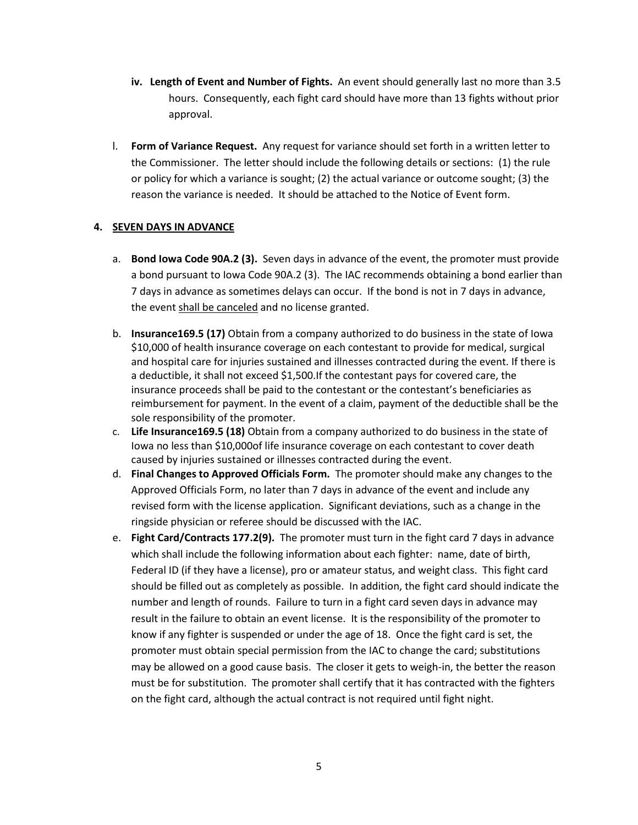- **iv. Length of Event and Number of Fights.** An event should generally last no more than 3.5 hours. Consequently, each fight card should have more than 13 fights without prior approval.
- l. **Form of Variance Request.** Any request for variance should set forth in a written letter to the Commissioner. The letter should include the following details or sections: (1) the rule or policy for which a variance is sought; (2) the actual variance or outcome sought; (3) the reason the variance is needed. It should be attached to the Notice of Event form.

#### **4. SEVEN DAYS IN ADVANCE**

- a. **Bond Iowa Code 90A.2 (3).** Seven days in advance of the event, the promoter must provide a bond pursuant to Iowa Code 90A.2 (3). The IAC recommends obtaining a bond earlier than 7 days in advance as sometimes delays can occur. If the bond is not in 7 days in advance, the event shall be canceled and no license granted.
- b. **Insurance169.5 (17)** Obtain from a company authorized to do business in the state of Iowa \$10,000 of health insurance coverage on each contestant to provide for medical, surgical and hospital care for injuries sustained and illnesses contracted during the event. If there is a deductible, it shall not exceed \$1,500.If the contestant pays for covered care, the insurance proceeds shall be paid to the contestant or the contestant's beneficiaries as reimbursement for payment. In the event of a claim, payment of the deductible shall be the sole responsibility of the promoter.
- c. **Life Insurance169.5 (18)** Obtain from a company authorized to do business in the state of Iowa no less than \$10,000of life insurance coverage on each contestant to cover death caused by injuries sustained or illnesses contracted during the event.
- d. **Final Changes to Approved Officials Form.** The promoter should make any changes to the Approved Officials Form, no later than 7 days in advance of the event and include any revised form with the license application. Significant deviations, such as a change in the ringside physician or referee should be discussed with the IAC.
- e. **Fight Card/Contracts 177.2(9).** The promoter must turn in the fight card 7 days in advance which shall include the following information about each fighter: name, date of birth, Federal ID (if they have a license), pro or amateur status, and weight class. This fight card should be filled out as completely as possible. In addition, the fight card should indicate the number and length of rounds. Failure to turn in a fight card seven days in advance may result in the failure to obtain an event license. It is the responsibility of the promoter to know if any fighter is suspended or under the age of 18. Once the fight card is set, the promoter must obtain special permission from the IAC to change the card; substitutions may be allowed on a good cause basis. The closer it gets to weigh-in, the better the reason must be for substitution. The promoter shall certify that it has contracted with the fighters on the fight card, although the actual contract is not required until fight night.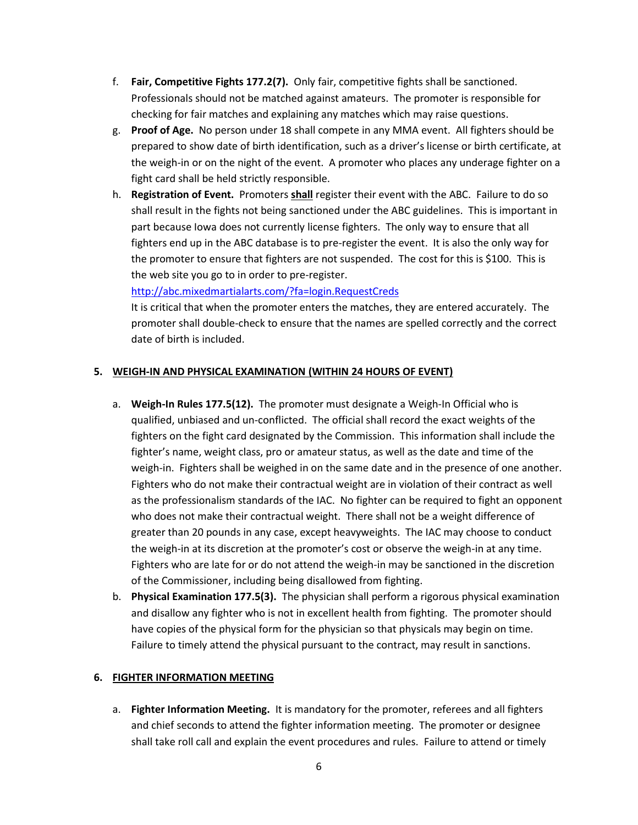- f. **Fair, Competitive Fights 177.2(7).** Only fair, competitive fights shall be sanctioned. Professionals should not be matched against amateurs. The promoter is responsible for checking for fair matches and explaining any matches which may raise questions.
- g. **Proof of Age.** No person under 18 shall compete in any MMA event. All fighters should be prepared to show date of birth identification, such as a driver's license or birth certificate, at the weigh-in or on the night of the event. A promoter who places any underage fighter on a fight card shall be held strictly responsible.
- h. **Registration of Event.** Promoters **shall** register their event with the ABC. Failure to do so shall result in the fights not being sanctioned under the ABC guidelines. This is important in part because Iowa does not currently license fighters. The only way to ensure that all fighters end up in the ABC database is to pre-register the event. It is also the only way for the promoter to ensure that fighters are not suspended. The cost for this is \$100. This is the web site you go to in order to pre-register.

<http://abc.mixedmartialarts.com/?fa=login.RequestCreds>

It is critical that when the promoter enters the matches, they are entered accurately. The promoter shall double-check to ensure that the names are spelled correctly and the correct date of birth is included.

#### **5. WEIGH-IN AND PHYSICAL EXAMINATION (WITHIN 24 HOURS OF EVENT)**

- a. **Weigh-In Rules 177.5(12).** The promoter must designate a Weigh-In Official who is qualified, unbiased and un-conflicted. The official shall record the exact weights of the fighters on the fight card designated by the Commission. This information shall include the fighter's name, weight class, pro or amateur status, as well as the date and time of the weigh-in. Fighters shall be weighed in on the same date and in the presence of one another. Fighters who do not make their contractual weight are in violation of their contract as well as the professionalism standards of the IAC. No fighter can be required to fight an opponent who does not make their contractual weight. There shall not be a weight difference of greater than 20 pounds in any case, except heavyweights. The IAC may choose to conduct the weigh-in at its discretion at the promoter's cost or observe the weigh-in at any time. Fighters who are late for or do not attend the weigh-in may be sanctioned in the discretion of the Commissioner, including being disallowed from fighting.
- b. **Physical Examination 177.5(3).** The physician shall perform a rigorous physical examination and disallow any fighter who is not in excellent health from fighting. The promoter should have copies of the physical form for the physician so that physicals may begin on time. Failure to timely attend the physical pursuant to the contract, may result in sanctions.

#### **6. FIGHTER INFORMATION MEETING**

a. **Fighter Information Meeting.** It is mandatory for the promoter, referees and all fighters and chief seconds to attend the fighter information meeting. The promoter or designee shall take roll call and explain the event procedures and rules. Failure to attend or timely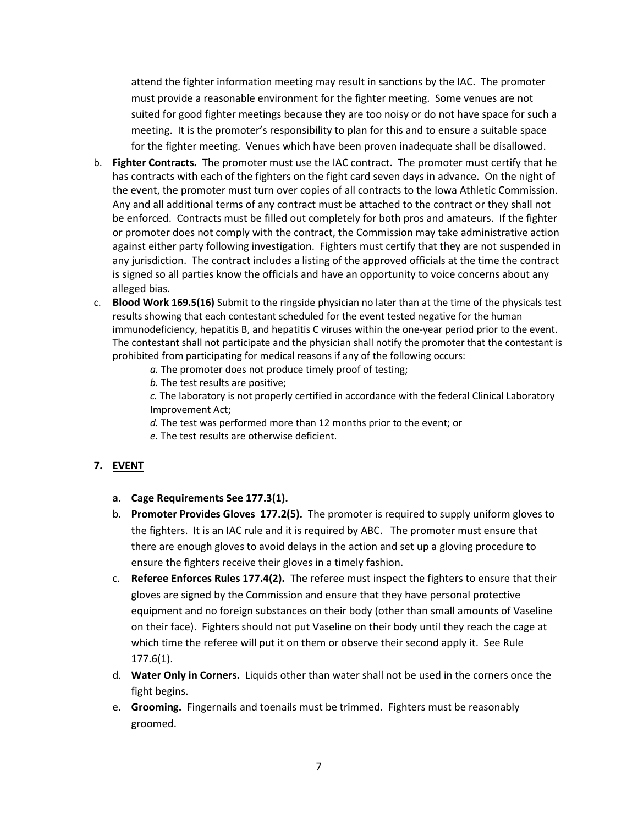attend the fighter information meeting may result in sanctions by the IAC. The promoter must provide a reasonable environment for the fighter meeting. Some venues are not suited for good fighter meetings because they are too noisy or do not have space for such a meeting. It is the promoter's responsibility to plan for this and to ensure a suitable space for the fighter meeting. Venues which have been proven inadequate shall be disallowed.

- b. **Fighter Contracts.** The promoter must use the IAC contract. The promoter must certify that he has contracts with each of the fighters on the fight card seven days in advance. On the night of the event, the promoter must turn over copies of all contracts to the Iowa Athletic Commission. Any and all additional terms of any contract must be attached to the contract or they shall not be enforced. Contracts must be filled out completely for both pros and amateurs. If the fighter or promoter does not comply with the contract, the Commission may take administrative action against either party following investigation. Fighters must certify that they are not suspended in any jurisdiction. The contract includes a listing of the approved officials at the time the contract is signed so all parties know the officials and have an opportunity to voice concerns about any alleged bias.
- c. **Blood Work 169.5(16)** Submit to the ringside physician no later than at the time of the physicals test results showing that each contestant scheduled for the event tested negative for the human immunodeficiency, hepatitis B, and hepatitis C viruses within the one-year period prior to the event. The contestant shall not participate and the physician shall notify the promoter that the contestant is prohibited from participating for medical reasons if any of the following occurs:
	- *a.* The promoter does not produce timely proof of testing;
	- *b.* The test results are positive;

*c.* The laboratory is not properly certified in accordance with the federal Clinical Laboratory Improvement Act;

- *d.* The test was performed more than 12 months prior to the event; or
- *e.* The test results are otherwise deficient.

# **7. EVENT**

- **a. Cage Requirements See 177.3(1).**
- b. **Promoter Provides Gloves 177.2(5).** The promoter is required to supply uniform gloves to the fighters. It is an IAC rule and it is required by ABC. The promoter must ensure that there are enough gloves to avoid delays in the action and set up a gloving procedure to ensure the fighters receive their gloves in a timely fashion.
- c. **Referee Enforces Rules 177.4(2).** The referee must inspect the fighters to ensure that their gloves are signed by the Commission and ensure that they have personal protective equipment and no foreign substances on their body (other than small amounts of Vaseline on their face). Fighters should not put Vaseline on their body until they reach the cage at which time the referee will put it on them or observe their second apply it. See Rule 177.6(1).
- d. **Water Only in Corners.** Liquids other than water shall not be used in the corners once the fight begins.
- e. **Grooming.** Fingernails and toenails must be trimmed. Fighters must be reasonably groomed.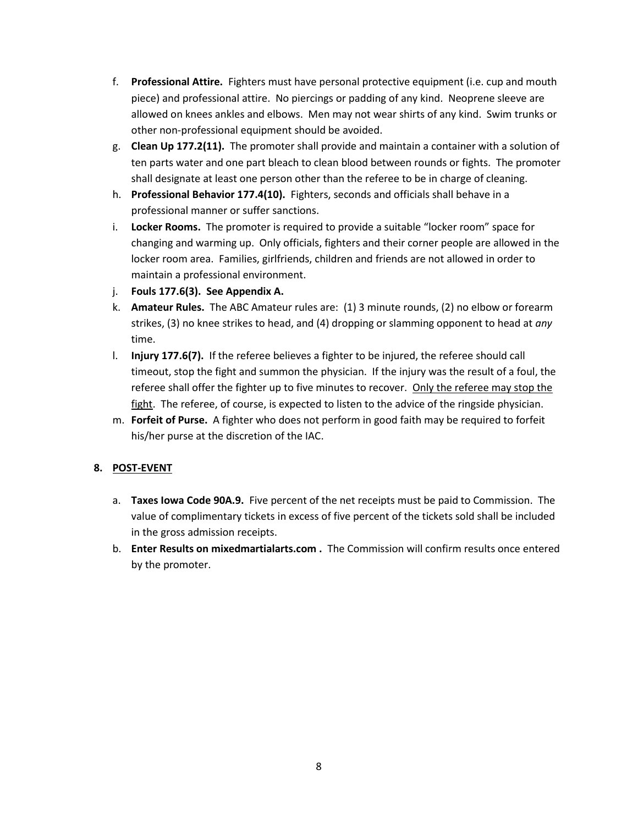- f. **Professional Attire.** Fighters must have personal protective equipment (i.e. cup and mouth piece) and professional attire. No piercings or padding of any kind. Neoprene sleeve are allowed on knees ankles and elbows. Men may not wear shirts of any kind. Swim trunks or other non-professional equipment should be avoided.
- g. **Clean Up 177.2(11).** The promoter shall provide and maintain a container with a solution of ten parts water and one part bleach to clean blood between rounds or fights. The promoter shall designate at least one person other than the referee to be in charge of cleaning.
- h. **Professional Behavior 177.4(10).** Fighters, seconds and officials shall behave in a professional manner or suffer sanctions.
- i. **Locker Rooms.** The promoter is required to provide a suitable "locker room" space for changing and warming up. Only officials, fighters and their corner people are allowed in the locker room area. Families, girlfriends, children and friends are not allowed in order to maintain a professional environment.
- j. **Fouls 177.6(3). See Appendix A.**
- k. **Amateur Rules.** The ABC Amateur rules are: (1) 3 minute rounds, (2) no elbow or forearm strikes, (3) no knee strikes to head, and (4) dropping or slamming opponent to head at *any* time.
- l. **Injury 177.6(7).** If the referee believes a fighter to be injured, the referee should call timeout, stop the fight and summon the physician. If the injury was the result of a foul, the referee shall offer the fighter up to five minutes to recover. Only the referee may stop the fight. The referee, of course, is expected to listen to the advice of the ringside physician.
- m. **Forfeit of Purse.** A fighter who does not perform in good faith may be required to forfeit his/her purse at the discretion of the IAC.

# **8. POST-EVENT**

- a. **Taxes Iowa Code 90A.9.** Five percent of the net receipts must be paid to Commission. The value of complimentary tickets in excess of five percent of the tickets sold shall be included in the gross admission receipts.
- b. **Enter Results on mixedmartialarts.com .** The Commission will confirm results once entered by the promoter.